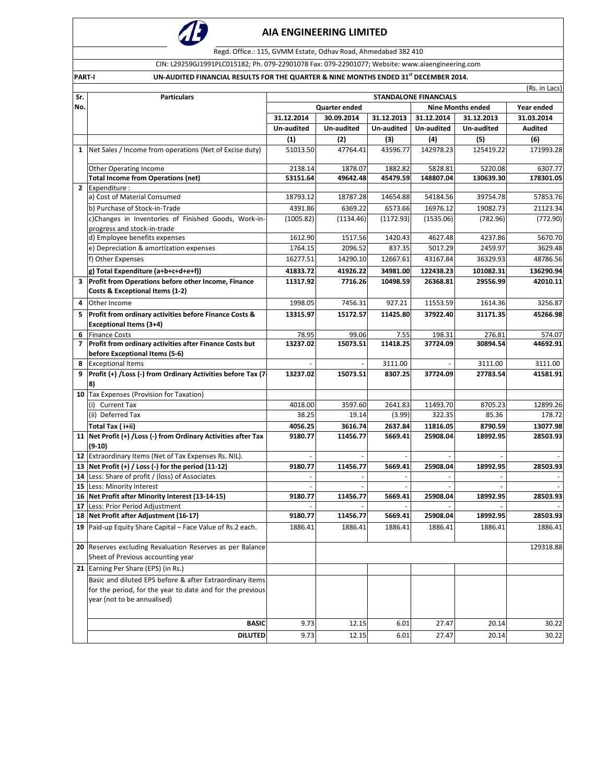

Regd. Office.: 115, GVMM Estate, Odhav Road, Ahmedabad 382 410

CIN: L29259GJ1991PLC015182; Ph. 079‐22901078 Fax: 079‐22901077; Website: www.aiaengineering.com

PART-I UN-AUDITED FINANCIAL RESULTS FOR THE QUARTER & NINE MONTHS ENDED 31<sup>st</sup> DECEMBER 2014.

| Sr.            | Particulars                                                                              | (Rs. in Lacs)<br><b>STANDALONE FINANCIALS</b> |                                                                                                          |            |            |            |            |  |
|----------------|------------------------------------------------------------------------------------------|-----------------------------------------------|----------------------------------------------------------------------------------------------------------|------------|------------|------------|------------|--|
| No.            |                                                                                          |                                               | Year ended                                                                                               |            |            |            |            |  |
|                |                                                                                          | 31.12.2014                                    | <b>Quarter ended</b><br><b>Nine Months ended</b><br>30.09.2014<br>31.12.2013<br>31.12.2014<br>31.12.2013 |            |            |            | 31.03.2014 |  |
|                |                                                                                          | Un-audited                                    | Un-audited                                                                                               | Un-audited | Un-audited | Un-audited | Audited    |  |
|                |                                                                                          | (1)                                           | (2)                                                                                                      | (3)        | (4)        | (5)        | (6)        |  |
|                | 1 Net Sales / Income from operations (Net of Excise duty)                                | 51013.50                                      | 47764.41                                                                                                 | 43596.77   | 142978.23  | 125419.22  | 171993.28  |  |
|                |                                                                                          |                                               |                                                                                                          |            |            |            |            |  |
|                | <b>Other Operating Income</b>                                                            | 2138.14                                       | 1878.07                                                                                                  | 1882.82    | 5828.81    | 5220.08    | 6307.77    |  |
|                | <b>Total Income from Operations (net)</b>                                                | 53151.64                                      | 49642.48                                                                                                 | 45479.59   | 148807.04  | 130639.30  | 178301.05  |  |
|                | 2 Expenditure :                                                                          |                                               |                                                                                                          |            |            |            |            |  |
|                | a) Cost of Material Consumed                                                             | 18793.12                                      | 18787.28                                                                                                 | 14654.88   | 54184.56   | 39754.78   | 57853.76   |  |
|                | b) Purchase of Stock-in-Trade                                                            | 4391.86                                       | 6369.22                                                                                                  | 6573.66    | 16976.12   | 19082.73   | 21123.34   |  |
|                | c)Changes in Inventories of Finished Goods, Work-in-                                     | (1005.82)                                     | (1134.46)                                                                                                | (1172.93)  | (1535.06)  | (782.96)   | (772.90)   |  |
|                | progress and stock-in-trade<br>d) Employee benefits expenses                             | 1612.90                                       | 1517.56                                                                                                  | 1420.43    | 4627.48    | 4237.86    | 5670.70    |  |
|                | e) Depreciation & amortization expenses                                                  | 1764.15                                       | 2096.52                                                                                                  | 837.35     | 5017.29    | 2459.97    | 3629.48    |  |
|                |                                                                                          |                                               |                                                                                                          |            |            |            |            |  |
|                | f) Other Expenses                                                                        | 16277.51                                      | 14290.10                                                                                                 | 12667.61   | 43167.84   | 36329.93   | 48786.56   |  |
|                | g) Total Expenditure (a+b+c+d+e+f))                                                      | 41833.72                                      | 41926.22                                                                                                 | 34981.00   | 122438.23  | 101082.31  | 136290.94  |  |
|                | 3 Profit from Operations before other Income, Finance<br>Costs & Exceptional Items (1-2) | 11317.92                                      | 7716.26                                                                                                  | 10498.59   | 26368.81   | 29556.99   | 42010.11   |  |
| 4              | Other Income                                                                             | 1998.05                                       | 7456.31                                                                                                  | 927.21     | 11553.59   | 1614.36    | 3256.87    |  |
| 5.             | Profit from ordinary activities before Finance Costs &                                   | 13315.97                                      | 15172.57                                                                                                 | 11425.80   | 37922.40   | 31171.35   | 45266.98   |  |
|                | <b>Exceptional Items (3+4)</b>                                                           |                                               |                                                                                                          |            |            |            |            |  |
|                | 6 Finance Costs                                                                          | 78.95                                         | 99.06                                                                                                    | 7.55       | 198.31     | 276.81     | 574.07     |  |
| $\overline{ }$ | Profit from ordinary activities after Finance Costs but                                  | 13237.02                                      | 15073.51                                                                                                 | 11418.25   | 37724.09   | 30894.54   | 44692.91   |  |
|                | before Exceptional Items (5-6)                                                           |                                               |                                                                                                          |            |            |            |            |  |
| 8              | <b>Exceptional Items</b>                                                                 |                                               |                                                                                                          | 3111.00    |            | 3111.00    | 3111.00    |  |
|                | 9   Profit (+) / Loss (-) from Ordinary Activities before Tax (7-<br>8)                  | 13237.02                                      | 15073.51                                                                                                 | 8307.25    | 37724.09   | 27783.54   | 41581.91   |  |
|                | 10 Tax Expenses (Provision for Taxation)                                                 |                                               |                                                                                                          |            |            |            |            |  |
|                | (i) Current Tax                                                                          | 4018.00                                       | 3597.60                                                                                                  | 2641.83    | 11493.70   | 8705.23    | 12899.26   |  |
|                | (ii) Deferred Tax                                                                        | 38.25                                         | 19.14                                                                                                    | (3.99)     | 322.35     | 85.36      | 178.72     |  |
|                | Total Tax ( i+ii)                                                                        | 4056.25                                       | 3616.74                                                                                                  | 2637.84    | 11816.05   | 8790.59    | 13077.98   |  |
|                | 11 Net Profit (+) / Loss (-) from Ordinary Activities after Tax<br>$(9-10)$              | 9180.77                                       | 11456.77                                                                                                 | 5669.41    | 25908.04   | 18992.95   | 28503.93   |  |
|                | 12 Extraordinary Items (Net of Tax Expenses Rs. NIL).                                    |                                               |                                                                                                          |            |            |            |            |  |
|                | 13 Net Profit $(+)$ / Loss $(-)$ for the period (11-12)                                  | 9180.77                                       | 11456.77                                                                                                 | 5669.41    | 25908.04   | 18992.95   | 28503.93   |  |
|                | 14 Less: Share of profit / (loss) of Associates                                          |                                               |                                                                                                          |            |            |            |            |  |
|                | 15 Less: Minority Interest                                                               |                                               |                                                                                                          |            |            |            |            |  |
|                | 16 Net Profit after Minority Interest (13-14-15)                                         | 9180.77                                       | 11456.77                                                                                                 | 5669.41    | 25908.04   | 18992.95   | 28503.93   |  |
| 17             | Less: Prior Period Adjustment                                                            |                                               |                                                                                                          |            |            |            |            |  |
|                | 18 Net Profit after Adjustment (16-17)                                                   | 9180.77                                       | 11456.77                                                                                                 | 5669.41    | 25908.04   | 18992.95   | 28503.93   |  |
|                | 19 Paid-up Equity Share Capital - Face Value of Rs.2 each.                               | 1886.41                                       | 1886.41                                                                                                  | 1886.41    | 1886.41    | 1886.41    | 1886.41    |  |
|                | 20 Reserves excluding Revaluation Reserves as per Balance                                |                                               |                                                                                                          |            |            |            | 129318.88  |  |
|                | Sheet of Previous accounting year                                                        |                                               |                                                                                                          |            |            |            |            |  |
|                | 21 Earning Per Share (EPS) (in Rs.)                                                      |                                               |                                                                                                          |            |            |            |            |  |
|                | Basic and diluted EPS before & after Extraordinary items                                 |                                               |                                                                                                          |            |            |            |            |  |
|                | for the period, for the year to date and for the previous                                |                                               |                                                                                                          |            |            |            |            |  |
|                | year (not to be annualised)                                                              |                                               |                                                                                                          |            |            |            |            |  |
|                |                                                                                          |                                               |                                                                                                          |            |            |            |            |  |
|                | <b>BASIC</b>                                                                             | 9.73                                          | 12.15                                                                                                    | 6.01       | 27.47      | 20.14      | 30.22      |  |
|                | <b>DILUTED</b>                                                                           | 9.73                                          | 12.15                                                                                                    | 6.01       | 27.47      | 20.14      | 30.22      |  |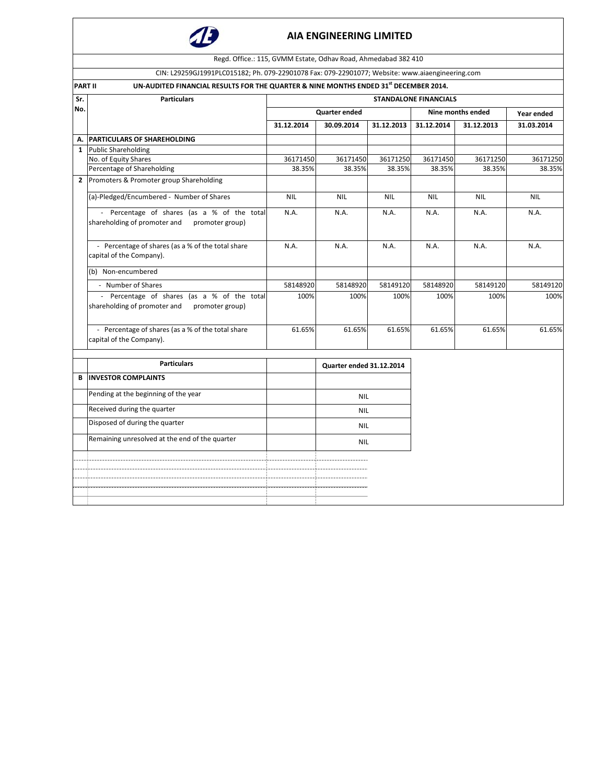

|                | Regd. Office.: 115, GVMM Estate, Odhav Road, Ahmedabad 382 410                                         |            |                          |            |                              |            |            |  |  |  |
|----------------|--------------------------------------------------------------------------------------------------------|------------|--------------------------|------------|------------------------------|------------|------------|--|--|--|
|                | CIN: L29259GJ1991PLC015182; Ph. 079-22901078 Fax: 079-22901077; Website: www.aiaengineering.com        |            |                          |            |                              |            |            |  |  |  |
|                |                                                                                                        |            |                          |            |                              |            |            |  |  |  |
|                | UN-AUDITED FINANCIAL RESULTS FOR THE QUARTER & NINE MONTHS ENDED 31st DECEMBER 2014.<br><b>PART II</b> |            |                          |            |                              |            |            |  |  |  |
| Sr.            | <b>Particulars</b>                                                                                     |            |                          |            | <b>STANDALONE FINANCIALS</b> |            |            |  |  |  |
| No.            |                                                                                                        |            | <b>Quarter ended</b>     |            | Nine months ended            | Year ended |            |  |  |  |
|                |                                                                                                        | 31.12.2014 | 30.09.2014               | 31.12.2013 | 31.12.2014                   | 31.12.2013 | 31.03.2014 |  |  |  |
| А.             | <b>PARTICULARS OF SHAREHOLDING</b>                                                                     |            |                          |            |                              |            |            |  |  |  |
| $\mathbf{1}$   | <b>Public Shareholding</b>                                                                             |            |                          |            |                              |            |            |  |  |  |
|                | No. of Equity Shares                                                                                   | 36171450   | 36171450                 | 36171250   | 36171450                     | 36171250   | 36171250   |  |  |  |
|                | Percentage of Shareholding                                                                             | 38.35%     | 38.35%                   | 38.35%     | 38.35%                       | 38.35%     | 38.35%     |  |  |  |
| $\overline{2}$ | Promoters & Promoter group Shareholding                                                                |            |                          |            |                              |            |            |  |  |  |
|                | (a)-Pledged/Encumbered - Number of Shares                                                              | <b>NIL</b> | <b>NIL</b>               | <b>NIL</b> | <b>NIL</b>                   | <b>NIL</b> | <b>NIL</b> |  |  |  |
|                | Percentage of shares (as a % of the total<br>shareholding of promoter and<br>promoter group)           | N.A.       | N.A.                     | N.A.       | N.A.                         | N.A.       | N.A.       |  |  |  |
|                | - Percentage of shares (as a % of the total share<br>capital of the Company).                          | N.A.       | N.A.                     | N.A.       | N.A.                         | N.A.       | N.A.       |  |  |  |
|                | (b) Non-encumbered                                                                                     |            |                          |            |                              |            |            |  |  |  |
|                | - Number of Shares                                                                                     | 58148920   | 58148920                 | 58149120   | 58148920                     | 58149120   | 58149120   |  |  |  |
|                | - Percentage of shares (as a % of the total<br>shareholding of promoter and<br>promoter group)         | 100%       | 100%                     | 100%       | 100%                         | 100%       | 100%       |  |  |  |
|                | - Percentage of shares (as a % of the total share<br>capital of the Company).                          | 61.65%     | 61.65%                   | 61.65%     | 61.65%                       | 61.65%     | 61.65%     |  |  |  |
|                | <b>Particulars</b>                                                                                     |            | Quarter ended 31.12.2014 |            |                              |            |            |  |  |  |
| В              | <b>INVESTOR COMPLAINTS</b>                                                                             |            |                          |            |                              |            |            |  |  |  |
|                | Pending at the beginning of the year                                                                   |            | <b>NIL</b>               |            |                              |            |            |  |  |  |
|                | Received during the quarter                                                                            |            | <b>NIL</b>               |            |                              |            |            |  |  |  |
|                | Disposed of during the quarter                                                                         |            | <b>NIL</b>               |            |                              |            |            |  |  |  |
|                | Remaining unresolved at the end of the quarter                                                         |            | <b>NIL</b>               |            |                              |            |            |  |  |  |
|                |                                                                                                        |            |                          |            |                              |            |            |  |  |  |
|                |                                                                                                        |            |                          |            |                              |            |            |  |  |  |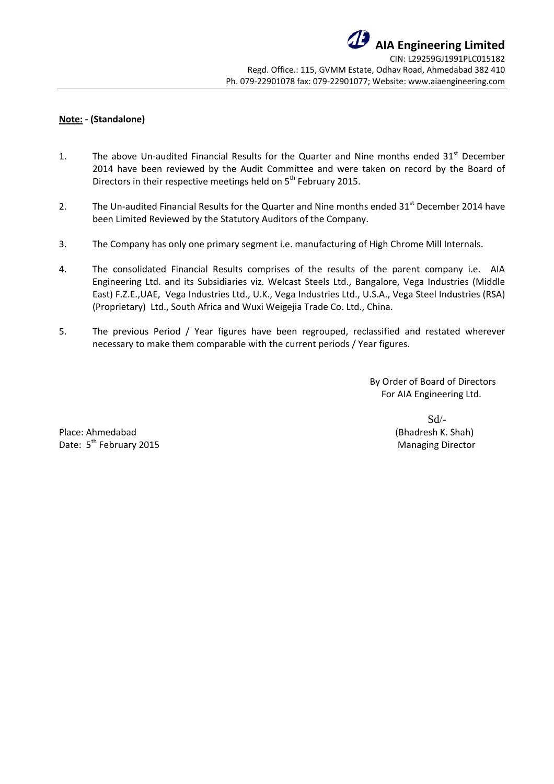# **Note: ‐ (Standalone)**

- 1. The above Un-audited Financial Results for the Quarter and Nine months ended 31<sup>st</sup> December 2014 have been reviewed by the Audit Committee and were taken on record by the Board of Directors in their respective meetings held on 5<sup>th</sup> February 2015.
- 2. The Un-audited Financial Results for the Quarter and Nine months ended 31<sup>st</sup> December 2014 have been Limited Reviewed by the Statutory Auditors of the Company.
- 3. The Company has only one primary segment i.e. manufacturing of High Chrome Mill Internals.
- 4. The consolidated Financial Results comprises of the results of the parent company i.e. AIA Engineering Ltd. and its Subsidiaries viz. Welcast Steels Ltd., Bangalore, Vega Industries (Middle East) F.Z.E.,UAE, Vega Industries Ltd., U.K., Vega Industries Ltd., U.S.A., Vega Steel Industries (RSA) (Proprietary) Ltd., South Africa and Wuxi Weigejia Trade Co. Ltd., China.
- 5. The previous Period / Year figures have been regrouped, reclassified and restated wherever necessary to make them comparable with the current periods / Year figures.

 By Order of Board of Directors For AIA Engineering Ltd.

Place: Ahmedabad (Bhadresh K. Shah) Date: 5th February 2015 Managing Director

Sd/-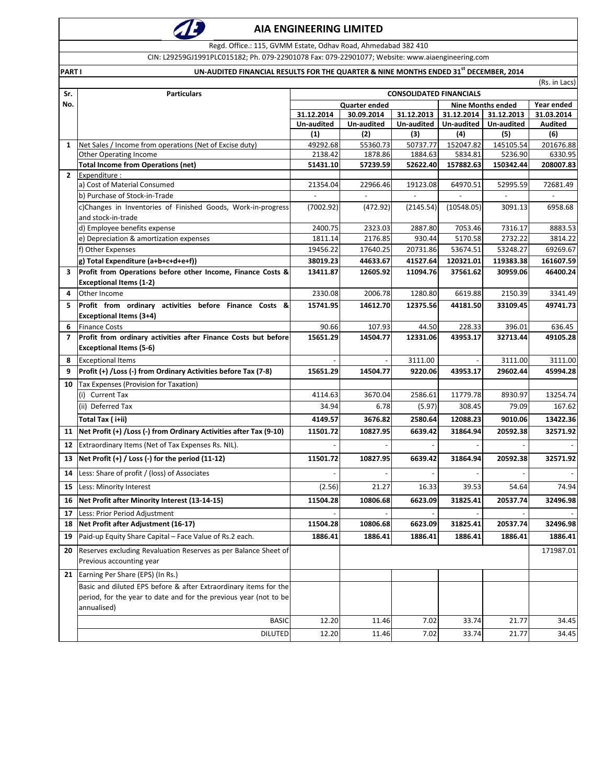

Regd. Office.: 115, GVMM Estate, Odhav Road, Ahmedabad 382 410

CIN: L29259GJ1991PLC015182; Ph. 079‐22901078 Fax: 079‐22901077; Website: www.aiaengineering.com

PART I PART I CONSERVATION ON AUDITED FINANCIAL RESULTS FOR THE QUARTER & NINE MONTHS ENDED 31<sup>st</sup> DECEMBER, 2014

|              | (Rs. in Lacs)                                                            |                                                  |                    |                   |                    |                  |                    |  |
|--------------|--------------------------------------------------------------------------|--------------------------------------------------|--------------------|-------------------|--------------------|------------------|--------------------|--|
| Sr.          | <b>Particulars</b>                                                       | <b>CONSOLIDATED FINANCIALS</b>                   |                    |                   |                    |                  |                    |  |
| No.          |                                                                          | <b>Quarter ended</b><br><b>Nine Months ended</b> |                    |                   |                    |                  | Year ended         |  |
|              |                                                                          | 31.12.2014                                       | 30.09.2014         | 31.12.2013        | 31.12.2014         | 31.12.2013       | 31.03.2014         |  |
|              |                                                                          | Un-audited<br>(1)                                | Un-audited         | Un-audited        | Un-audited         | Un-audited       | Audited            |  |
| $\mathbf{1}$ | Net Sales / Income from operations (Net of Excise duty)                  | 49292.68                                         | (2)<br>55360.73    | (3)<br>50737.77   | (4)<br>152047.82   | (5)<br>145105.54 | (6)<br>201676.88   |  |
|              | <b>Other Operating Income</b>                                            | 2138.42                                          | 1878.86            | 1884.63           | 5834.81            | 5236.90          | 6330.95            |  |
|              | <b>Total Income from Operations (net)</b>                                | 51431.10                                         | 57239.59           | 52622.40          | 157882.63          | 150342.44        | 208007.83          |  |
| $\mathbf{2}$ | Expenditure :                                                            |                                                  |                    |                   |                    |                  |                    |  |
|              | a) Cost of Material Consumed                                             | 21354.04                                         | 22966.46           | 19123.08          | 64970.51           | 52995.59         | 72681.49           |  |
|              | b) Purchase of Stock-in-Trade                                            |                                                  |                    | $\sim$            |                    |                  |                    |  |
|              | c)Changes in Inventories of Finished Goods, Work-in-progress             | (7002.92)                                        | (472.92)           | (2145.54)         | (10548.05)         | 3091.13          | 6958.68            |  |
|              | and stock-in-trade                                                       | 2400.75                                          |                    | 2887.80           | 7053.46            | 7316.17          | 8883.53            |  |
|              | d) Employee benefits expense<br>e) Depreciation & amortization expenses  | 1811.14                                          | 2323.03<br>2176.85 | 930.44            | 5170.58            | 2732.22          | 3814.22            |  |
|              | f) Other Expenses                                                        | 19456.22                                         | 17640.25           | 20731.86          | 53674.51           | 53248.27         | 69269.67           |  |
|              | g) Total Expenditure (a+b+c+d+e+f))                                      | 38019.23                                         | 44633.67           | 41527.64          | 120321.01          | 119383.38        | 161607.59          |  |
| 3            | Profit from Operations before other Income, Finance Costs &              | 13411.87                                         | 12605.92           | 11094.76          | 37561.62           | 30959.06         | 46400.24           |  |
|              | <b>Exceptional Items (1-2)</b>                                           |                                                  |                    |                   |                    |                  |                    |  |
| 4            | Other Income                                                             | 2330.08                                          | 2006.78            | 1280.80           | 6619.88            | 2150.39          | 3341.49            |  |
| 5.           | Profit from ordinary activities before Finance Costs &                   | 15741.95                                         | 14612.70           | 12375.56          | 44181.50           | 33109.45         | 49741.73           |  |
|              | <b>Exceptional Items (3+4)</b>                                           |                                                  |                    |                   |                    |                  |                    |  |
| 6            | <b>Finance Costs</b>                                                     | 90.66                                            | 107.93             | 44.50             | 228.33             | 396.01           | 636.45             |  |
| 7            | Profit from ordinary activities after Finance Costs but before           | 15651.29                                         | 14504.77           | 12331.06          | 43953.17           | 32713.44         | 49105.28           |  |
|              | <b>Exceptional Items (5-6)</b>                                           |                                                  |                    |                   |                    |                  |                    |  |
| 8            | <b>Exceptional Items</b>                                                 |                                                  | 14504.77           | 3111.00           |                    | 3111.00          | 3111.00            |  |
| 9            | Profit (+) / Loss (-) from Ordinary Activities before Tax (7-8)          | 15651.29                                         |                    | 9220.06           | 43953.17           | 29602.44         | 45994.28           |  |
| 10           | Tax Expenses (Provision for Taxation)                                    |                                                  |                    |                   |                    |                  |                    |  |
|              | <b>Current Tax</b><br>(i)<br>(ii) Deferred Tax                           | 4114.63<br>34.94                                 | 3670.04<br>6.78    | 2586.61<br>(5.97) | 11779.78<br>308.45 | 8930.97<br>79.09 | 13254.74<br>167.62 |  |
|              |                                                                          |                                                  |                    |                   |                    |                  |                    |  |
|              | Total Tax (i+ii)                                                         | 4149.57                                          | 3676.82            | 2580.64           | 12088.23           | 9010.06          | 13422.36           |  |
|              | 11   Net Profit (+) / Loss (-) from Ordinary Activities after Tax (9-10) | 11501.72                                         | 10827.95           | 6639.42           | 31864.94           | 20592.38         | 32571.92           |  |
| 12           | Extraordinary Items (Net of Tax Expenses Rs. NIL).                       |                                                  |                    |                   |                    |                  |                    |  |
| 13           | Net Profit (+) / Loss (-) for the period (11-12)                         | 11501.72                                         | 10827.95           | 6639.42           | 31864.94           | 20592.38         | 32571.92           |  |
| 14           | Less: Share of profit / (loss) of Associates                             |                                                  |                    |                   |                    |                  |                    |  |
| 15           | Less: Minority Interest                                                  | (2.56)                                           | 21.27              | 16.33             | 39.53              | 54.64            | 74.94              |  |
| 16           | Net Profit after Minority Interest (13-14-15)                            | 11504.28                                         | 10806.68           | 6623.09           | 31825.41           | 20537.74         | 32496.98           |  |
| 17           | Less: Prior Period Adjustment                                            |                                                  |                    |                   |                    |                  |                    |  |
|              | 18 Net Profit after Adjustment (16-17)                                   | 11504.28                                         | 10806.68           | 6623.09           | 31825.41           | 20537.74         | 32496.98           |  |
| 19           | Paid-up Equity Share Capital - Face Value of Rs.2 each.                  | 1886.41                                          | 1886.41            | 1886.41           | 1886.41            | 1886.41          | 1886.41            |  |
| 20           | Reserves excluding Revaluation Reserves as per Balance Sheet of          |                                                  |                    |                   |                    |                  | 171987.01          |  |
|              | Previous accounting year                                                 |                                                  |                    |                   |                    |                  |                    |  |
| 21           | Earning Per Share (EPS) (In Rs.)                                         |                                                  |                    |                   |                    |                  |                    |  |
|              | Basic and diluted EPS before & after Extraordinary items for the         |                                                  |                    |                   |                    |                  |                    |  |
|              | period, for the year to date and for the previous year (not to be        |                                                  |                    |                   |                    |                  |                    |  |
|              | annualised)                                                              |                                                  |                    |                   |                    |                  |                    |  |
|              | <b>BASIC</b>                                                             | 12.20                                            | 11.46              | 7.02              | 33.74              | 21.77            | 34.45              |  |
|              | <b>DILUTED</b>                                                           | 12.20                                            | 11.46              | 7.02              | 33.74              | 21.77            | 34.45              |  |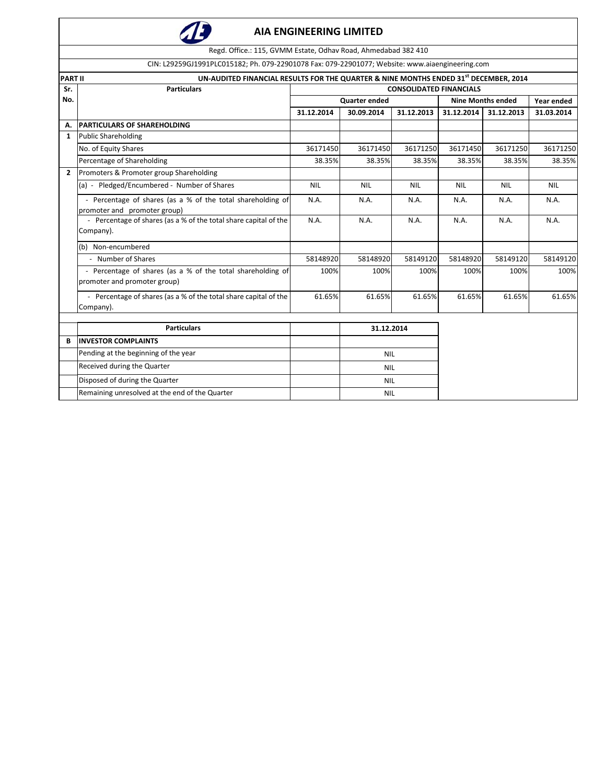

Regd. Office.: 115, GVMM Estate, Odhav Road, Ahmedabad 382 410

CIN: L29259GJ1991PLC015182; Ph. 079‐22901078 Fax: 079‐22901077; Website: www.aiaengineering.com

|                | UN-AUDITED FINANCIAL RESULTS FOR THE QUARTER & NINE MONTHS ENDED 31 <sup>st</sup> DECEMBER, 2014<br><b>PART II</b> |                                |            |            |                          |            |            |  |
|----------------|--------------------------------------------------------------------------------------------------------------------|--------------------------------|------------|------------|--------------------------|------------|------------|--|
| Sr.            | <b>Particulars</b>                                                                                                 | <b>CONSOLIDATED FINANCIALS</b> |            |            |                          |            |            |  |
| No.            |                                                                                                                    | Quarter ended                  |            |            | <b>Nine Months ended</b> | Year ended |            |  |
|                |                                                                                                                    | 31.12.2014                     | 30.09.2014 | 31.12.2013 | 31.12.2014               | 31.12.2013 | 31.03.2014 |  |
| Α.             | <b>PARTICULARS OF SHAREHOLDING</b>                                                                                 |                                |            |            |                          |            |            |  |
| 1              | <b>Public Shareholding</b>                                                                                         |                                |            |            |                          |            |            |  |
|                | No. of Equity Shares                                                                                               | 36171450                       | 36171450   | 36171250   | 36171450                 | 36171250   | 36171250   |  |
|                | Percentage of Shareholding                                                                                         | 38.35%                         | 38.35%     | 38.35%     | 38.35%                   | 38.35%     | 38.35%     |  |
| $\overline{2}$ | Promoters & Promoter group Shareholding                                                                            |                                |            |            |                          |            |            |  |
|                | (a) - Pledged/Encumbered - Number of Shares                                                                        | <b>NIL</b>                     | <b>NIL</b> | <b>NIL</b> | <b>NIL</b>               | <b>NIL</b> | <b>NIL</b> |  |
|                | - Percentage of shares (as a % of the total shareholding of<br>promoter and promoter group)                        | N.A.                           | N.A.       | N.A.       | N.A.                     | N.A.       | N.A.       |  |
|                | - Percentage of shares (as a % of the total share capital of the                                                   | N.A.                           | N.A.       | N.A.       | N.A.                     | N.A.       | N.A.       |  |
|                | Company).                                                                                                          |                                |            |            |                          |            |            |  |
|                | (b) Non-encumbered                                                                                                 |                                |            |            |                          |            |            |  |
|                | - Number of Shares                                                                                                 | 58148920                       | 58148920   | 58149120   | 58148920                 | 58149120   | 58149120   |  |
|                | - Percentage of shares (as a % of the total shareholding of<br>promoter and promoter group)                        | 100%                           | 100%       | 100%       | 100%                     | 100%       | 100%       |  |
|                | - Percentage of shares (as a % of the total share capital of the<br>Company).                                      | 61.65%                         | 61.65%     | 61.65%     | 61.65%                   | 61.65%     | 61.65%     |  |
|                | <b>Particulars</b>                                                                                                 | 31.12.2014                     |            |            |                          |            |            |  |
| B              | <b>INVESTOR COMPLAINTS</b>                                                                                         |                                |            |            |                          |            |            |  |
|                | Pending at the beginning of the year                                                                               |                                | <b>NIL</b> |            |                          |            |            |  |
|                | Received during the Quarter                                                                                        |                                | <b>NIL</b> |            |                          |            |            |  |
|                | Disposed of during the Quarter                                                                                     |                                | <b>NIL</b> |            |                          |            |            |  |
|                | Remaining unresolved at the end of the Quarter                                                                     |                                | <b>NIL</b> |            |                          |            |            |  |